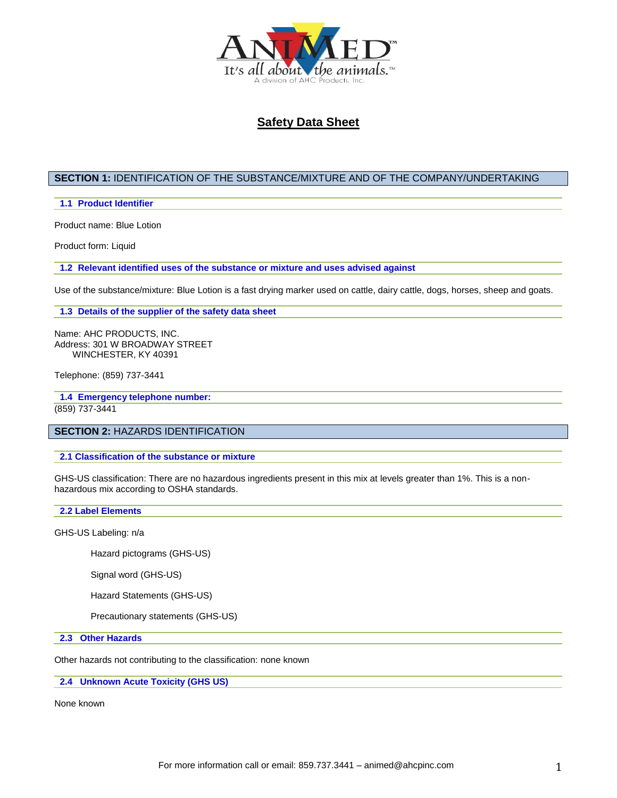

## **SECTION 1:** IDENTIFICATION OF THE SUBSTANCE/MIXTURE AND OF THE COMPANY/UNDERTAKING

#### **1.1 Product Identifier**

Product name: Blue Lotion

Product form: Liquid

**1.2 Relevant identified uses of the substance or mixture and uses advised against**

Use of the substance/mixture: Blue Lotion is a fast drying marker used on cattle, dairy cattle, dogs, horses, sheep and goats.

**1.3 Details of the supplier of the safety data sheet**

Name: AHC PRODUCTS, INC. Address: 301 W BROADWAY STREET WINCHESTER, KY 40391

Telephone: (859) 737-3441

**1.4 Emergency telephone number:** (859) 737-3441

## **SECTION 2:** HAZARDS IDENTIFICATION

**2.1 Classification of the substance or mixture**

GHS-US classification: There are no hazardous ingredients present in this mix at levels greater than 1%. This is a nonhazardous mix according to OSHA standards.

#### **2.2 Label Elements**

GHS-US Labeling: n/a

Hazard pictograms (GHS-US)

Signal word (GHS-US)

Hazard Statements (GHS-US)

Precautionary statements (GHS-US)

**2.3 Other Hazards**

Other hazards not contributing to the classification: none known

**2.4 Unknown Acute Toxicity (GHS US)**

None known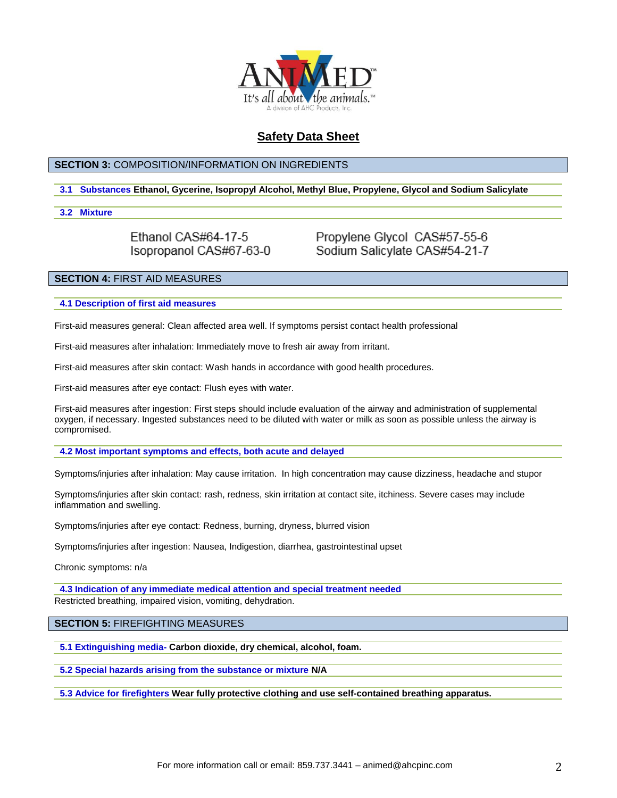

### **SECTION 3:** COMPOSITION/INFORMATION ON INGREDIENTS

### **3.1 Substances Ethanol, Gycerine, Isopropyl Alcohol, Methyl Blue, Propylene, Glycol and Sodium Salicylate**

#### **3.2 Mixture**

Ethanol CAS#64-17-5 Isopropanol CAS#67-63-0 Propylene Glycol CAS#57-55-6 Sodium Salicylate CAS#54-21-7

### **SECTION 4:** FIRST AID MEASURES

**4.1 Description of first aid measures**

First-aid measures general: Clean affected area well. If symptoms persist contact health professional

First-aid measures after inhalation: Immediately move to fresh air away from irritant.

First-aid measures after skin contact: Wash hands in accordance with good health procedures.

First-aid measures after eye contact: Flush eyes with water.

First-aid measures after ingestion: First steps should include evaluation of the airway and administration of supplemental oxygen, if necessary. Ingested substances need to be diluted with water or milk as soon as possible unless the airway is compromised.

**4.2 Most important symptoms and effects, both acute and delayed**

Symptoms/injuries after inhalation: May cause irritation. In high concentration may cause dizziness, headache and stupor

Symptoms/injuries after skin contact: rash, redness, skin irritation at contact site, itchiness. Severe cases may include inflammation and swelling.

Symptoms/injuries after eye contact: Redness, burning, dryness, blurred vision

Symptoms/injuries after ingestion: Nausea, Indigestion, diarrhea, gastrointestinal upset

Chronic symptoms: n/a

**4.3 Indication of any immediate medical attention and special treatment needed** Restricted breathing, impaired vision, vomiting, dehydration.

**SECTION 5:** FIREFIGHTING MEASURES

**5.1 Extinguishing media- Carbon dioxide, dry chemical, alcohol, foam.**

**5.2 Special hazards arising from the substance or mixture N/A**

**5.3 Advice for firefighters Wear fully protective clothing and use self-contained breathing apparatus.**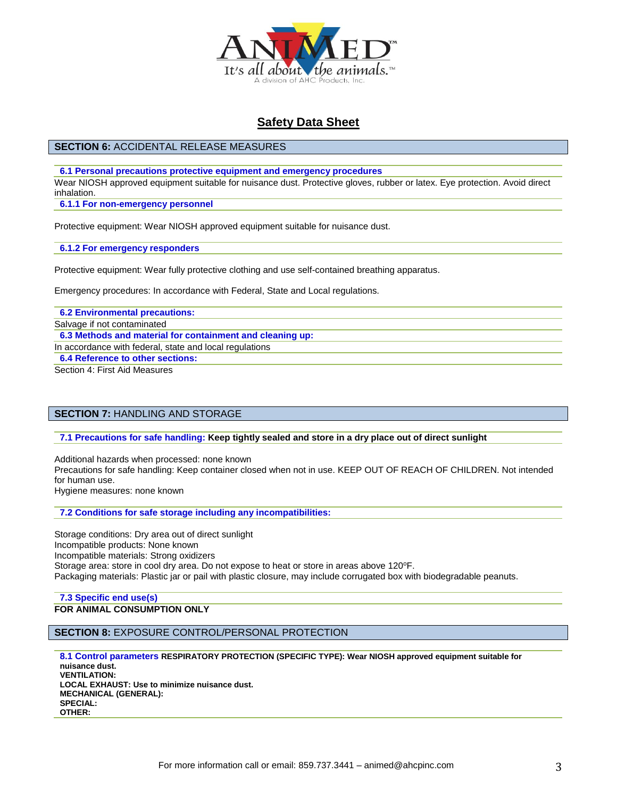

### **SECTION 6:** ACCIDENTAL RELEASE MEASURES

**6.1 Personal precautions protective equipment and emergency procedures**

Wear NIOSH approved equipment suitable for nuisance dust. Protective gloves, rubber or latex. Eye protection. Avoid direct inhalation.

**6.1.1 For non-emergency personnel**

Protective equipment: Wear NIOSH approved equipment suitable for nuisance dust.

**6.1.2 For emergency responders**

Protective equipment: Wear fully protective clothing and use self-contained breathing apparatus.

Emergency procedures: In accordance with Federal, State and Local regulations.

**6.2 Environmental precautions:**

Salvage if not contaminated

**6.3 Methods and material for containment and cleaning up:**

In accordance with federal, state and local regulations

**6.4 Reference to other sections:**

Section 4: First Aid Measures

### **SECTION 7:** HANDLING AND STORAGE

**7.1 Precautions for safe handling: Keep tightly sealed and store in a dry place out of direct sunlight**

Additional hazards when processed: none known

Precautions for safe handling: Keep container closed when not in use. KEEP OUT OF REACH OF CHILDREN. Not intended for human use.

Hygiene measures: none known

**7.2 Conditions for safe storage including any incompatibilities:**

Storage conditions: Dry area out of direct sunlight Incompatible products: None known Incompatible materials: Strong oxidizers Storage area: store in cool dry area. Do not expose to heat or store in areas above 120°F. Packaging materials: Plastic jar or pail with plastic closure, may include corrugated box with biodegradable peanuts.

#### **7.3 Specific end use(s) FOR ANIMAL CONSUMPTION ONLY**

**SECTION 8:** EXPOSURE CONTROL/PERSONAL PROTECTION

**8.1 Control parameters RESPIRATORY PROTECTION (SPECIFIC TYPE): Wear NIOSH approved equipment suitable for nuisance dust. VENTILATION: LOCAL EXHAUST: Use to minimize nuisance dust. MECHANICAL (GENERAL): SPECIAL: OTHER:**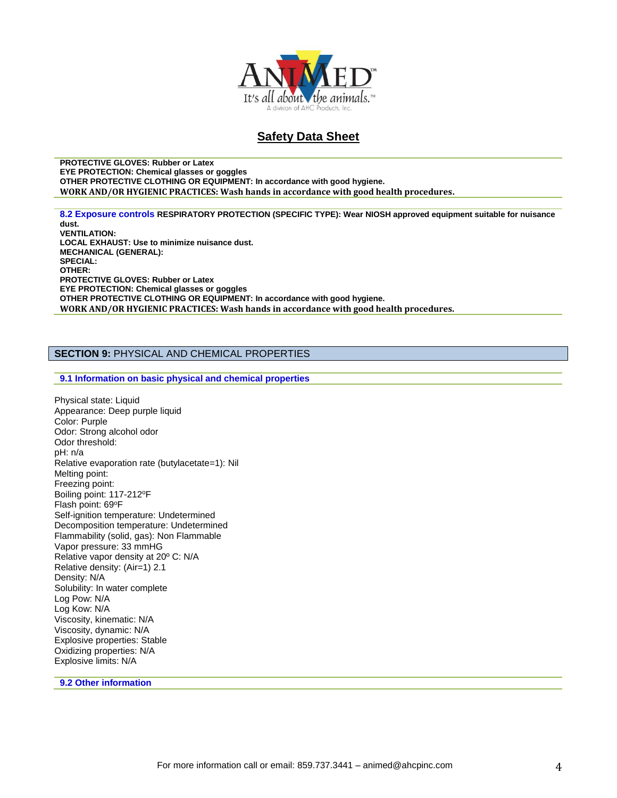

**PROTECTIVE GLOVES: Rubber or Latex EYE PROTECTION: Chemical glasses or goggles OTHER PROTECTIVE CLOTHING OR EQUIPMENT: In accordance with good hygiene. WORK AND/OR HYGIENIC PRACTICES: Wash hands in accordance with good health procedures.**

**8.2 Exposure controls RESPIRATORY PROTECTION (SPECIFIC TYPE): Wear NIOSH approved equipment suitable for nuisance dust. VENTILATION: LOCAL EXHAUST: Use to minimize nuisance dust. MECHANICAL (GENERAL): SPECIAL: OTHER: PROTECTIVE GLOVES: Rubber or Latex EYE PROTECTION: Chemical glasses or goggles OTHER PROTECTIVE CLOTHING OR EQUIPMENT: In accordance with good hygiene. WORK AND/OR HYGIENIC PRACTICES: Wash hands in accordance with good health procedures.**

### **SECTION 9:** PHYSICAL AND CHEMICAL PROPERTIES

**9.1 Information on basic physical and chemical properties**

Physical state: Liquid Appearance: Deep purple liquid Color: Purple Odor: Strong alcohol odor Odor threshold: pH: n/a Relative evaporation rate (butylacetate=1): Nil Melting point: Freezing point: Boiling point: 117-212<sup>o</sup>F Flash point: 69°F Self-ignition temperature: Undetermined Decomposition temperature: Undetermined Flammability (solid, gas): Non Flammable Vapor pressure: 33 mmHG Relative vapor density at 20º C: N/A Relative density: (Air=1) 2.1 Density: N/A Solubility: In water complete Log Pow: N/A Log Kow: N/A Viscosity, kinematic: N/A Viscosity, dynamic: N/A Explosive properties: Stable Oxidizing properties: N/A Explosive limits: N/A

**9.2 Other information**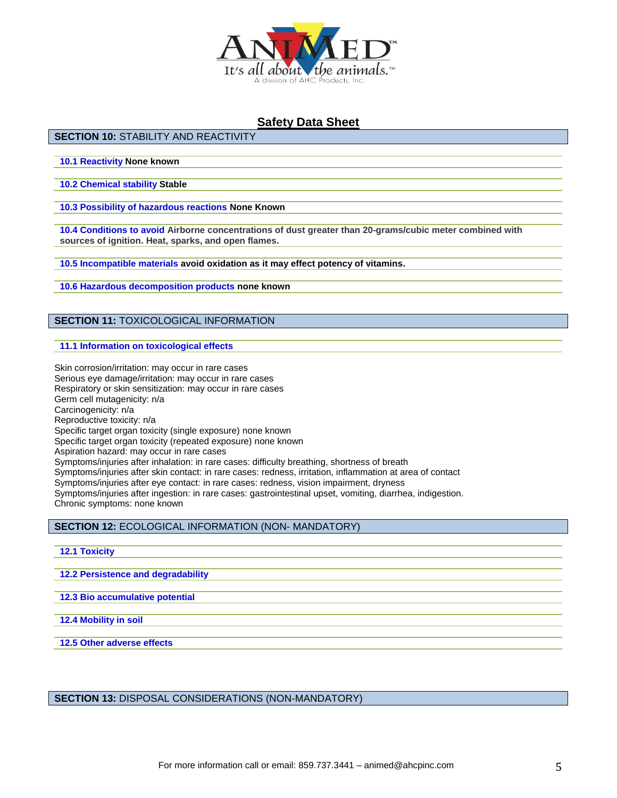

## **SECTION 10:** STABILITY AND REACTIVITY

**10.1 Reactivity None known**

**10.2 Chemical stability Stable**

**10.3 Possibility of hazardous reactions None Known**

**10.4 Conditions to avoid Airborne concentrations of dust greater than 20-grams/cubic meter combined with sources of ignition. Heat, sparks, and open flames.**

**10.5 Incompatible materials avoid oxidation as it may effect potency of vitamins.**

**10.6 Hazardous decomposition products none known**

## **SECTION 11:** TOXICOLOGICAL INFORMATION

**11.1 Information on toxicological effects**

Skin corrosion/irritation: may occur in rare cases Serious eye damage/irritation: may occur in rare cases Respiratory or skin sensitization: may occur in rare cases Germ cell mutagenicity: n/a Carcinogenicity: n/a Reproductive toxicity: n/a Specific target organ toxicity (single exposure) none known Specific target organ toxicity (repeated exposure) none known Aspiration hazard: may occur in rare cases Symptoms/injuries after inhalation: in rare cases: difficulty breathing, shortness of breath Symptoms/injuries after skin contact: in rare cases: redness, irritation, inflammation at area of contact Symptoms/injuries after eye contact: in rare cases: redness, vision impairment, dryness Symptoms/injuries after ingestion: in rare cases: gastrointestinal upset, vomiting, diarrhea, indigestion. Chronic symptoms: none known

**SECTION 12:** ECOLOGICAL INFORMATION (NON- MANDATORY)

#### **12.1 Toxicity**

**12.2 Persistence and degradability**

**12.3 Bio accumulative potential**

**12.4 Mobility in soil**

**12.5 Other adverse effects**

**SECTION 13:** DISPOSAL CONSIDERATIONS (NON-MANDATORY)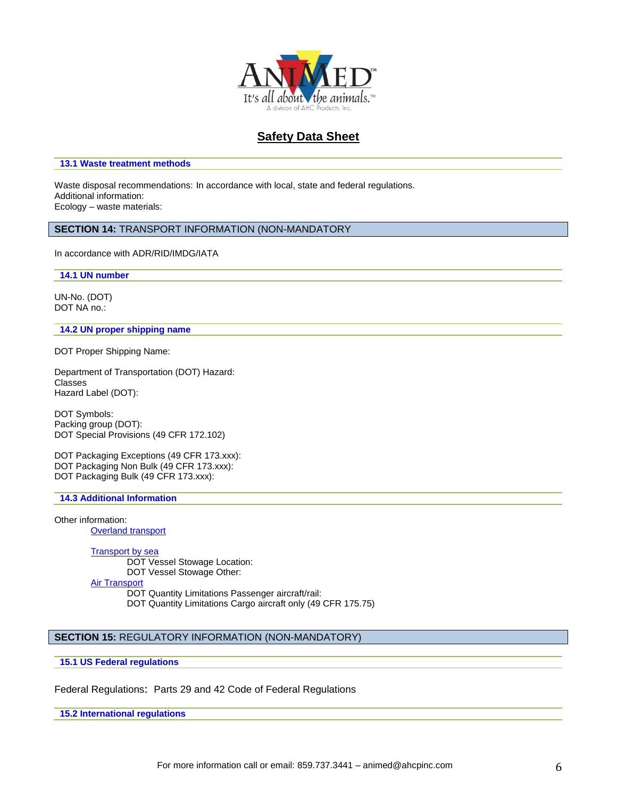

#### **13.1 Waste treatment methods**

Waste disposal recommendations: In accordance with local, state and federal regulations. Additional information: Ecology – waste materials:

# **SECTION 14:** TRANSPORT INFORMATION (NON-MANDATORY

In accordance with ADR/RID/IMDG/IATA

**14.1 UN number**

UN-No. (DOT) DOT NA no.:

#### **14.2 UN proper shipping name**

DOT Proper Shipping Name:

Department of Transportation (DOT) Hazard: Classes Hazard Label (DOT):

DOT Symbols: Packing group (DOT): DOT Special Provisions (49 CFR 172.102)

DOT Packaging Exceptions (49 CFR 173.xxx): DOT Packaging Non Bulk (49 CFR 173.xxx): DOT Packaging Bulk (49 CFR 173.xxx):

#### **14.3 Additional Information**

Other information: **Overland transport** 

Transport by sea

DOT Vessel Stowage Location: DOT Vessel Stowage Other: Air Transport DOT Quantity Limitations Passenger aircraft/rail:

DOT Quantity Limitations Cargo aircraft only (49 CFR 175.75)

## **SECTION 15:** REGULATORY INFORMATION (NON-MANDATORY)

**15.1 US Federal regulations**

Federal Regulations: Parts 29 and 42 Code of Federal Regulations

**15.2 International regulations**